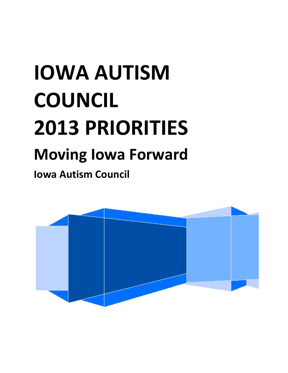# **IOWA AUTISM COUNCIL 2013 PRIORITIES Moving Iowa Forward**

**Iowa Autism Council**

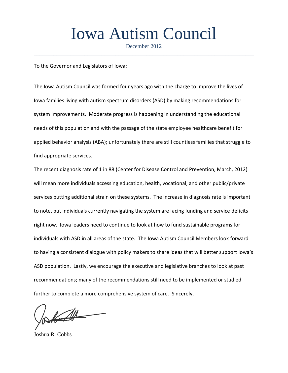## Iowa Autism Council

December 2012 **\_\_\_\_\_\_\_\_\_\_\_\_\_\_\_\_\_\_\_\_\_\_\_\_\_\_\_\_\_\_\_\_\_\_\_\_\_\_\_\_\_\_\_\_\_\_\_\_\_\_\_\_\_\_\_\_\_\_\_\_\_\_\_\_\_\_\_\_\_\_\_\_\_\_\_\_\_\_**

To the Governor and Legislators of Iowa:

The Iowa Autism Council was formed four years ago with the charge to improve the lives of Iowa families living with autism spectrum disorders (ASD) by making recommendations for system improvements. Moderate progress is happening in understanding the educational needs of this population and with the passage of the state employee healthcare benefit for applied behavior analysis (ABA); unfortunately there are still countless families that struggle to find appropriate services.

The recent diagnosis rate of 1 in 88 (Center for Disease Control and Prevention, March, 2012) will mean more individuals accessing education, health, vocational, and other public/private services putting additional strain on these systems. The increase in diagnosis rate is important to note, but individuals currently navigating the system are facing funding and service deficits right now. Iowa leaders need to continue to look at how to fund sustainable programs for individuals with ASD in all areas of the state. The Iowa Autism Council Members look forward to having a consistent dialogue with policy makers to share ideas that will better support Iowa's ASD population. Lastly, we encourage the executive and legislative branches to look at past recommendations; many of the recommendations still need to be implemented or studied further to complete a more comprehensive system of care. Sincerely,

 $\mathbb{Z}$ 

Joshua R. Cobbs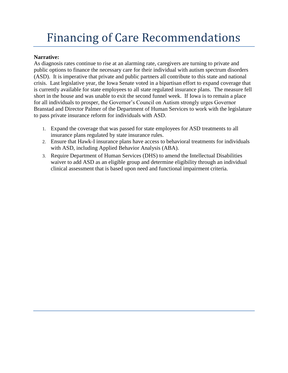### Financing of Care Recommendations

### **Narrative:**

As diagnosis rates continue to rise at an alarming rate, caregivers are turning to private and public options to finance the necessary care for their individual with autism spectrum disorders (ASD). It is imperative that private and public partners all contribute to this state and national crisis. Last legislative year, the Iowa Senate voted in a bipartisan effort to expand coverage that is currently available for state employees to all state regulated insurance plans. The measure fell short in the house and was unable to exit the second funnel week. If Iowa is to remain a place for all individuals to prosper, the Governor's Council on Autism strongly urges Governor Branstad and Director Palmer of the Department of Human Services to work with the legislature to pass private insurance reform for individuals with ASD.

- 1. Expand the coverage that was passed for state employees for ASD treatments to all insurance plans regulated by state insurance rules.
- 2. Ensure that Hawk-I insurance plans have access to behavioral treatments for individuals with ASD, including Applied Behavior Analysis (ABA).
- 3. Require Department of Human Services (DHS) to amend the Intellectual Disabilities waiver to add ASD as an eligible group and determine eligibility through an individual clinical assessment that is based upon need and functional impairment criteria.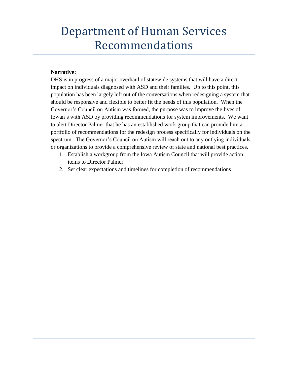### Department of Human Services Recommendations

#### **Narrative:**

DHS is in progress of a major overhaul of statewide systems that will have a direct impact on individuals diagnosed with ASD and their families. Up to this point, this population has been largely left out of the conversations when redesigning a system that should be responsive and flexible to better fit the needs of this population. When the Governor's Council on Autism was formed, the purpose was to improve the lives of Iowan's with ASD by providing recommendations for system improvements. We want to alert Director Palmer that he has an established work group that can provide him a portfolio of recommendations for the redesign process specifically for individuals on the spectrum. The Governor's Council on Autism will reach out to any outlying individuals or organizations to provide a comprehensive review of state and national best practices.

- 1. Establish a workgroup from the Iowa Autism Council that will provide action items to Director Palmer
- 2. Set clear expectations and timelines for completion of recommendations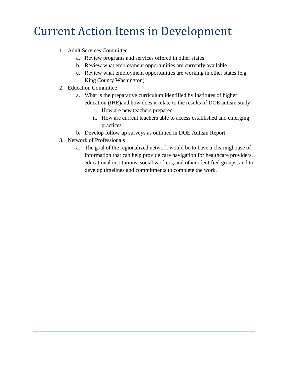### Current Action Items in Development

- 1. Adult Services Committee
	- a. Review programs and services offered in other states
	- b. Review what employment opportunities are currently available
	- c. Review what employment opportunities are working in other states (e.g. King County Washington)
- 2. Education Committee
	- a. What is the preparative curriculum identified by institutes of higher education (IHE)and how does it relate to the results of DOE autism study
		- i. How are new teachers prepared
		- ii. How are current teachers able to access established and emerging practices
	- b. Develop follow up surveys as outlined in DOE Autism Report
- 3. Network of Professionals
	- a. The goal of the regionalized network would be to have a clearinghouse of information that can help provide care navigation for healthcare providers, educational institutions, social workers, and other identified groups, and to develop timelines and commitments to complete the work.